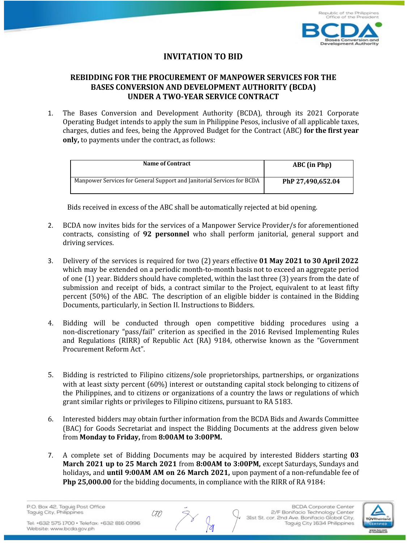

## **INVITATION TO BID**

## **REBIDDING FOR THE PROCUREMENT OF MANPOWER SERVICES FOR THE BASES CONVERSION AND DEVELOPMENT AUTHORITY (BCDA) UNDER A TWO-YEAR SERVICE CONTRACT**

1. The Bases Conversion and Development Authority (BCDA), through its 2021 Corporate Operating Budget intends to apply the sum in Philippine Pesos, inclusive of all applicable taxes, charges, duties and fees, being the Approved Budget for the Contract (ABC) **for the first year only,** to payments under the contract, as follows:

| Name of Contract                                                       | ABC (in Php)      |
|------------------------------------------------------------------------|-------------------|
| Manpower Services for General Support and Janitorial Services for BCDA | PhP 27.490.652.04 |

Bids received in excess of the ABC shall be automatically rejected at bid opening.

- 2. BCDA now invites bids for the services of a Manpower Service Provider/s for aforementioned contracts, consisting of **92 personnel** who shall perform janitorial, general support and driving services.
- 3. Delivery of the services is required for two (2) years effective **01 May 2021 to 30 April 2022** which may be extended on a periodic month-to-month basis not to exceed an aggregate period of one (1) year. Bidders should have completed, within the last three (3) years from the date of submission and receipt of bids, a contract similar to the Project, equivalent to at least fifty percent (50%) of the ABC. The description of an eligible bidder is contained in the Bidding Documents, particularly, in Section II. Instructions to Bidders.
- 4. Bidding will be conducted through open competitive bidding procedures using a non-discretionary "pass/fail" criterion as specified in the 2016 Revised Implementing Rules and Regulations (RIRR) of Republic Act (RA) 9184, otherwise known as the "Government Procurement Reform Act".
- 5. Bidding is restricted to Filipino citizens/sole proprietorships, partnerships, or organizations with at least sixty percent (60%) interest or outstanding capital stock belonging to citizens of the Philippines, and to citizens or organizations of a country the laws or regulations of which grant similar rights or privileges to Filipino citizens, pursuant to RA 5183.
- 6. Interested bidders may obtain further information from the BCDA Bids and Awards Committee (BAC) for Goods Secretariat and inspect the Bidding Documents at the address given below from **Monday to Friday,** from **8:00AM to 3:00PM.**
- 7. A complete set of Bidding Documents may be acquired by interested Bidders starting **03 March 2021 up to 25 March 2021** from **8:00AM to 3:00PM,** except Saturdays, Sundays and holidays**,** and **until 9:00AM AM on 26 March 2021,** upon payment of a non-refundable fee of **Php 25,000.00** for the bidding documents, in compliance with the RIRR of RA 9184:

CTO

P.O. Box 42, Taguig Post Office Taguig City, Philippines